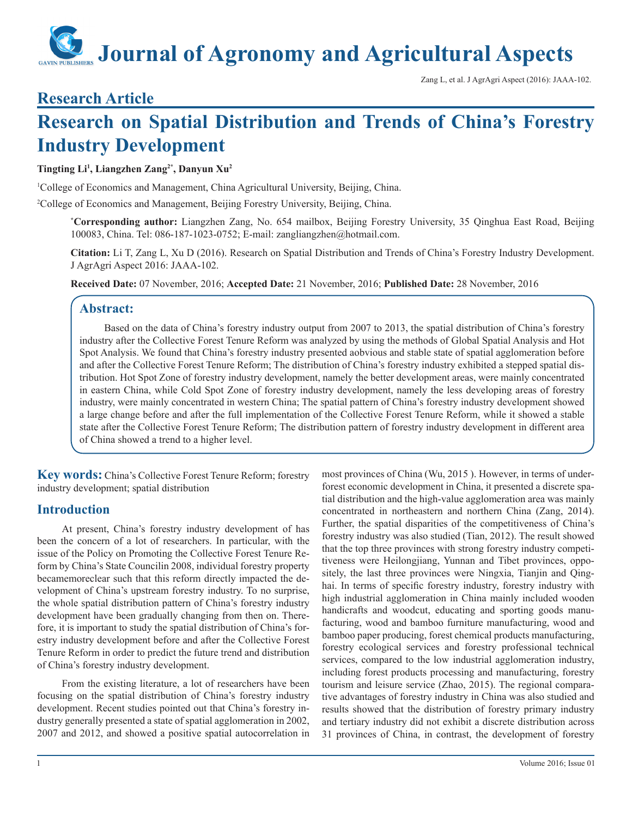# **Journal of Agronomy and Agricultural Aspects**

Zang L, et al. J AgrAgri Aspect (2016): JAAA-102.

# **Research Article**

# **Research on Spatial Distribution and Trends of China's Forestry Industry Development**

# **Tingting Li1 , Liangzhen Zang2\*, Danyun Xu2**

1 College of Economics and Management, China Agricultural University, Beijing, China.

2 College of Economics and Management, Beijing Forestry University, Beijing, China.

**\* Corresponding author:** Liangzhen Zang, No. 654 mailbox, Beijing Forestry University, 35 Qinghua East Road, Beijing 100083, China. Tel: 086-187-1023-0752; E-mail: zangliangzhen@hotmail.com.

**Citation:** Li T, Zang L, Xu D (2016). Research on Spatial Distribution and Trends of China's Forestry Industry Development. J AgrAgri Aspect 2016: JAAA-102.

**Received Date:** 07 November, 2016; **Accepted Date:** 21 November, 2016; **Published Date:** 28 November, 2016

# **Abstract:**

Based on the data of China's forestry industry output from 2007 to 2013, the spatial distribution of China's forestry industry after the Collective Forest Tenure Reform was analyzed by using the methods of Global Spatial Analysis and Hot Spot Analysis. We found that China's forestry industry presented aobvious and stable state of spatial agglomeration before and after the Collective Forest Tenure Reform; The distribution of China's forestry industry exhibited a stepped spatial distribution. Hot Spot Zone of forestry industry development, namely the better development areas, were mainly concentrated in eastern China, while Cold Spot Zone of forestry industry development, namely the less developing areas of forestry industry, were mainly concentrated in western China; The spatial pattern of China's forestry industry development showed a large change before and after the full implementation of the Collective Forest Tenure Reform, while it showed a stable state after the Collective Forest Tenure Reform; The distribution pattern of forestry industry development in different area of China showed a trend to a higher level.

**Key words:** China's Collective Forest Tenure Reform; forestry industry development; spatial distribution

# **Introduction**

At present, China's forestry industry development of has been the concern of a lot of researchers. In particular, with the issue of the Policy on Promoting the Collective Forest Tenure Reform by China's State Councilin 2008, individual forestry property becamemoreclear such that this reform directly impacted the development of China's upstream forestry industry. To no surprise, the whole spatial distribution pattern of China's forestry industry development have been gradually changing from then on. Therefore, it is important to study the spatial distribution of China's forestry industry development before and after the Collective Forest Tenure Reform in order to predict the future trend and distribution of China's forestry industry development.

From the existing literature, a lot of researchers have been focusing on the spatial distribution of China's forestry industry development. Recent studies pointed out that China's forestry industry generally presented a state of spatial agglomeration in 2002, 2007 and 2012, and showed a positive spatial autocorrelation in most provinces of China (Wu, 2015 ). However, in terms of underforest economic development in China, it presented a discrete spatial distribution and the high-value agglomeration area was mainly concentrated in northeastern and northern China (Zang, 2014). Further, the spatial disparities of the competitiveness of China's forestry industry was also studied (Tian, 2012). The result showed that the top three provinces with strong forestry industry competitiveness were Heilongjiang, Yunnan and Tibet provinces, oppositely, the last three provinces were Ningxia, Tianjin and Qinghai. In terms of specific forestry industry, forestry industry with high industrial agglomeration in China mainly included wooden handicrafts and woodcut, educating and sporting goods manufacturing, wood and bamboo furniture manufacturing, wood and bamboo paper producing, forest chemical products manufacturing, forestry ecological services and forestry professional technical services, compared to the low industrial agglomeration industry, including forest products processing and manufacturing, forestry tourism and leisure service (Zhao, 2015). The regional comparative advantages of forestry industry in China was also studied and results showed that the distribution of forestry primary industry and tertiary industry did not exhibit a discrete distribution across 31 provinces of China, in contrast, the development of forestry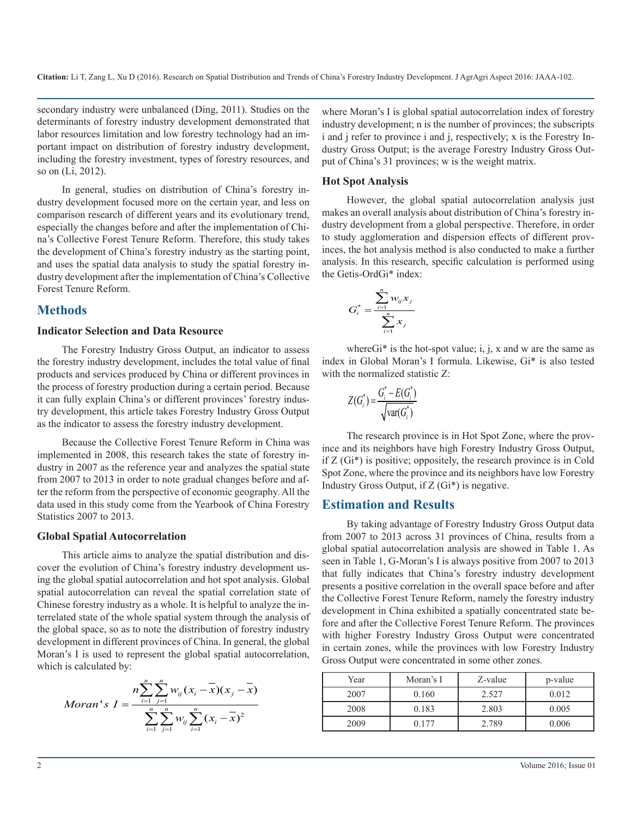**Citation:** Li T, Zang L, Xu D (2016). Research on Spatial Distribution and Trends of China's Forestry Industry Development. J AgrAgri Aspect 2016: JAAA-102.

secondary industry were unbalanced (Ding, 2011). Studies on the determinants of forestry industry development demonstrated that labor resources limitation and low forestry technology had an important impact on distribution of forestry industry development, including the forestry investment, types of forestry resources, and so on (Li, 2012).

In general, studies on distribution of China's forestry industry development focused more on the certain year, and less on comparison research of different years and its evolutionary trend, especially the changes before and after the implementation of China's Collective Forest Tenure Reform. Therefore, this study takes the development of China's forestry industry as the starting point, and uses the spatial data analysis to study the spatial forestry industry development after the implementation of China's Collective Forest Tenure Reform.

#### **Methods**

#### **Indicator Selection and Data Resource**

The Forestry Industry Gross Output, an indicator to assess the forestry industry development, includes the total value of final products and services produced by China or different provinces in the process of forestry production during a certain period. Because it can fully explain China's or different provinces' forestry industry development, this article takes Forestry Industry Gross Output as the indicator to assess the forestry industry development.

Because the Collective Forest Tenure Reform in China was implemented in 2008, this research takes the state of forestry industry in 2007 as the reference year and analyzes the spatial state from 2007 to 2013 in order to note gradual changes before and after the reform from the perspective of economic geography. All the data used in this study come from the Yearbook of China Forestry Statistics 2007 to 2013.

#### **Global Spatial Autocorrelation**

This article aims to analyze the spatial distribution and discover the evolution of China's forestry industry development using the global spatial autocorrelation and hot spot analysis. Global spatial autocorrelation can reveal the spatial correlation state of Chinese forestry industry as a whole. It is helpful to analyze the interrelated state of the whole spatial system through the analysis of the global space, so as to note the distribution of forestry industry development in different provinces of China. In general, the global Moran's I is used to represent the global spatial autocorrelation, which is calculated by:

*Moran's* 
$$
I = \frac{n \sum_{i=1}^{n} \sum_{j=1}^{n} w_{ij} (x_i - \overline{x})(x_j - \overline{x})}{\sum_{i=1}^{n} \sum_{j=1}^{n} w_{ij} \sum_{i=1}^{n} (x_i - \overline{x})^2}
$$

where Moran's I is global spatial autocorrelation index of forestry industry development; n is the number of provinces; the subscripts i and j refer to province i and j, respectively; x is the Forestry Industry Gross Output; is the average Forestry Industry Gross Output of China's 31 provinces; w is the weight matrix.

#### **Hot Spot Analysis**

However, the global spatial autocorrelation analysis just makes an overall analysis about distribution of China's forestry industry development from a global perspective. Therefore, in order to study agglomeration and dispersion effects of different provinces, the hot analysis method is also conducted to make a further analysis. In this research, specific calculation is performed using the Getis-OrdGi\* index:

$$
G_i^* = \frac{\sum_{i=1}^n w_{ij} x_j}{\sum_{i=1}^n x_i}
$$

where $Gi^*$  is the hot-spot value; i, j, x and w are the same as index in Global Moran's I formula. Likewise, Gi\* is also tested with the normalized statistic Z:

$$
Z(G_i^*) = \frac{G_i^* - E(G_i^*)}{\sqrt{\text{var}(G_i^*)}}
$$

The research province is in Hot Spot Zone, where the province and its neighbors have high Forestry Industry Gross Output, if Z (Gi\*) is positive; oppositely, the research province is in Cold Spot Zone, where the province and its neighbors have low Forestry Industry Gross Output, if Z (Gi\*) is negative.

#### **Estimation and Results**

By taking advantage of Forestry Industry Gross Output data from 2007 to 2013 across 31 provinces of China, results from a global spatial autocorrelation analysis are showed in Table 1. As seen in Table 1, G-Moran's I is always positive from 2007 to 2013 that fully indicates that China's forestry industry development presents a positive correlation in the overall space before and after the Collective Forest Tenure Reform, namely the forestry industry development in China exhibited a spatially concentrated state before and after the Collective Forest Tenure Reform. The provinces with higher Forestry Industry Gross Output were concentrated in certain zones, while the provinces with low Forestry Industry Gross Output were concentrated in some other zones.

| Year | Moran's I | Z-value | p-value |
|------|-----------|---------|---------|
| 2007 | 0.160     | 2.527   | 0.012   |
| 2008 | 0.183     | 2.803   | 0.005   |
| 2009 | በ 177     | 2.789   | 0.006   |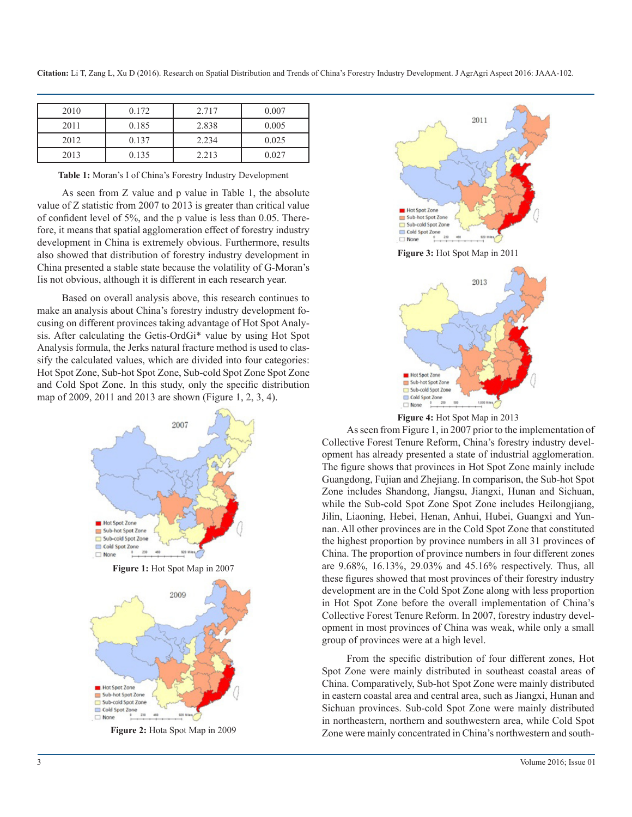**Citation:** Li T, Zang L, Xu D (2016). Research on Spatial Distribution and Trends of China's Forestry Industry Development. J AgrAgri Aspect 2016: JAAA-102.

| 2010 | 0.172 | 2.717 | 0.007 |
|------|-------|-------|-------|
| 2011 | 0.185 | 2.838 | 0.005 |
| 2012 | 0.137 | 2.234 | 0.025 |
| 2013 | 0.135 | 2.213 | 0.027 |

**Table 1:** Moran's I of China's Forestry Industry Development

As seen from Z value and p value in Table 1, the absolute value of Z statistic from 2007 to 2013 is greater than critical value of confident level of 5%, and the p value is less than 0.05. Therefore, it means that spatial agglomeration effect of forestry industry development in China is extremely obvious. Furthermore, results also showed that distribution of forestry industry development in China presented a stable state because the volatility of G-Moran's Iis not obvious, although it is different in each research year.

Based on overall analysis above, this research continues to make an analysis about China's forestry industry development focusing on different provinces taking advantage of Hot Spot Analysis. After calculating the Getis-OrdGi\* value by using Hot Spot Analysis formula, the Jerks natural fracture method is used to classify the calculated values, which are divided into four categories: Hot Spot Zone, Sub-hot Spot Zone, Sub-cold Spot Zone Spot Zone and Cold Spot Zone. In this study, only the specific distribution map of 2009, 2011 and 2013 are shown (Figure 1, 2, 3, 4).



**Figure 2:** Hota Spot Map in 2009



**Figure 4:** Hot Spot Map in 2013

1,000 1

Hot Spot Zone Sub-hot Spot Zone Sub-cold Spot Zone Cold Spot Zone

 $\Box$  None

As seen from Figure 1, in 2007 prior to the implementation of Collective Forest Tenure Reform, China's forestry industry development has already presented a state of industrial agglomeration. The figure shows that provinces in Hot Spot Zone mainly include Guangdong, Fujian and Zhejiang. In comparison, the Sub-hot Spot Zone includes Shandong, Jiangsu, Jiangxi, Hunan and Sichuan, while the Sub-cold Spot Zone Spot Zone includes Heilongjiang, Jilin, Liaoning, Hebei, Henan, Anhui, Hubei, Guangxi and Yunnan. All other provinces are in the Cold Spot Zone that constituted the highest proportion by province numbers in all 31 provinces of China. The proportion of province numbers in four different zones are 9.68%, 16.13%, 29.03% and 45.16% respectively. Thus, all these figures showed that most provinces of their forestry industry development are in the Cold Spot Zone along with less proportion in Hot Spot Zone before the overall implementation of China's Collective Forest Tenure Reform. In 2007, forestry industry development in most provinces of China was weak, while only a small group of provinces were at a high level.

From the specific distribution of four different zones, Hot Spot Zone were mainly distributed in southeast coastal areas of China. Comparatively, Sub-hot Spot Zone were mainly distributed in eastern coastal area and central area, such as Jiangxi, Hunan and Sichuan provinces. Sub-cold Spot Zone were mainly distributed in northeastern, northern and southwestern area, while Cold Spot Zone were mainly concentrated in China's northwestern and south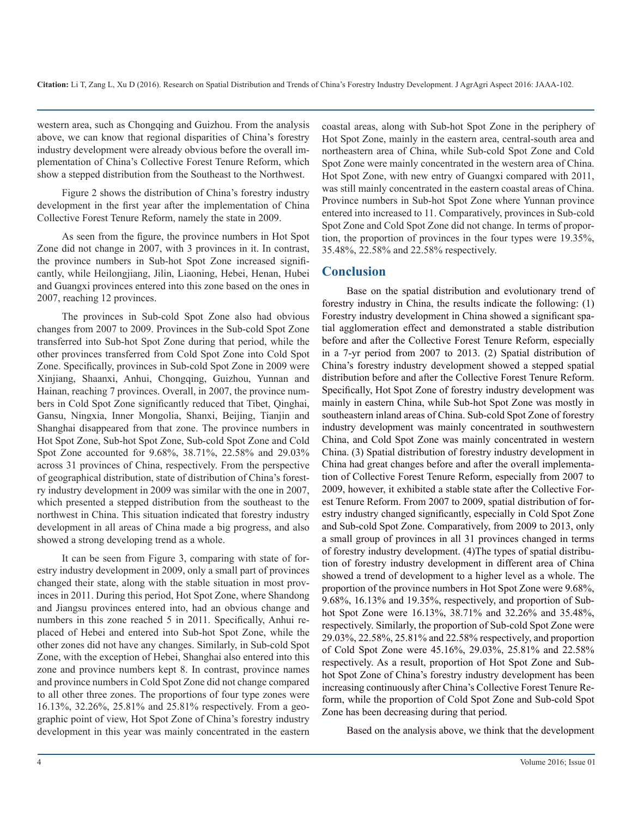western area, such as Chongqing and Guizhou. From the analysis above, we can know that regional disparities of China's forestry industry development were already obvious before the overall implementation of China's Collective Forest Tenure Reform, which show a stepped distribution from the Southeast to the Northwest.

Figure 2 shows the distribution of China's forestry industry development in the first year after the implementation of China Collective Forest Tenure Reform, namely the state in 2009.

As seen from the figure, the province numbers in Hot Spot Zone did not change in 2007, with 3 provinces in it. In contrast, the province numbers in Sub-hot Spot Zone increased significantly, while Heilongjiang, Jilin, Liaoning, Hebei, Henan, Hubei and Guangxi provinces entered into this zone based on the ones in 2007, reaching 12 provinces.

The provinces in Sub-cold Spot Zone also had obvious changes from 2007 to 2009. Provinces in the Sub-cold Spot Zone transferred into Sub-hot Spot Zone during that period, while the other provinces transferred from Cold Spot Zone into Cold Spot Zone. Specifically, provinces in Sub-cold Spot Zone in 2009 were Xinjiang, Shaanxi, Anhui, Chongqing, Guizhou, Yunnan and Hainan, reaching 7 provinces. Overall, in 2007, the province numbers in Cold Spot Zone significantly reduced that Tibet, Qinghai, Gansu, Ningxia, Inner Mongolia, Shanxi, Beijing, Tianjin and Shanghai disappeared from that zone. The province numbers in Hot Spot Zone, Sub-hot Spot Zone, Sub-cold Spot Zone and Cold Spot Zone accounted for 9.68%, 38.71%, 22.58% and 29.03% across 31 provinces of China, respectively. From the perspective of geographical distribution, state of distribution of China's forestry industry development in 2009 was similar with the one in 2007, which presented a stepped distribution from the southeast to the northwest in China. This situation indicated that forestry industry development in all areas of China made a big progress, and also showed a strong developing trend as a whole.

It can be seen from Figure 3, comparing with state of forestry industry development in 2009, only a small part of provinces changed their state, along with the stable situation in most provinces in 2011. During this period, Hot Spot Zone, where Shandong and Jiangsu provinces entered into, had an obvious change and numbers in this zone reached 5 in 2011. Specifically, Anhui replaced of Hebei and entered into Sub-hot Spot Zone, while the other zones did not have any changes. Similarly, in Sub-cold Spot Zone, with the exception of Hebei, Shanghai also entered into this zone and province numbers kept 8. In contrast, province names and province numbers in Cold Spot Zone did not change compared to all other three zones. The proportions of four type zones were 16.13%, 32.26%, 25.81% and 25.81% respectively. From a geographic point of view, Hot Spot Zone of China's forestry industry development in this year was mainly concentrated in the eastern coastal areas, along with Sub-hot Spot Zone in the periphery of Hot Spot Zone, mainly in the eastern area, central-south area and northeastern area of China, while Sub-cold Spot Zone and Cold Spot Zone were mainly concentrated in the western area of China. Hot Spot Zone, with new entry of Guangxi compared with 2011, was still mainly concentrated in the eastern coastal areas of China. Province numbers in Sub-hot Spot Zone where Yunnan province entered into increased to 11. Comparatively, provinces in Sub-cold Spot Zone and Cold Spot Zone did not change. In terms of proportion, the proportion of provinces in the four types were 19.35%, 35.48%, 22.58% and 22.58% respectively.

## **Conclusion**

Base on the spatial distribution and evolutionary trend of forestry industry in China, the results indicate the following: (1) Forestry industry development in China showed a significant spatial agglomeration effect and demonstrated a stable distribution before and after the Collective Forest Tenure Reform, especially in a 7-yr period from 2007 to 2013. (2) Spatial distribution of China's forestry industry development showed a stepped spatial distribution before and after the Collective Forest Tenure Reform. Specifically, Hot Spot Zone of forestry industry development was mainly in eastern China, while Sub-hot Spot Zone was mostly in southeastern inland areas of China. Sub-cold Spot Zone of forestry industry development was mainly concentrated in southwestern China, and Cold Spot Zone was mainly concentrated in western China. (3) Spatial distribution of forestry industry development in China had great changes before and after the overall implementation of Collective Forest Tenure Reform, especially from 2007 to 2009, however, it exhibited a stable state after the Collective Forest Tenure Reform. From 2007 to 2009, spatial distribution of forestry industry changed significantly, especially in Cold Spot Zone and Sub-cold Spot Zone. Comparatively, from 2009 to 2013, only a small group of provinces in all 31 provinces changed in terms of forestry industry development. (4)The types of spatial distribution of forestry industry development in different area of China showed a trend of development to a higher level as a whole. The proportion of the province numbers in Hot Spot Zone were 9.68%, 9.68%, 16.13% and 19.35%, respectively, and proportion of Subhot Spot Zone were 16.13%, 38.71% and 32.26% and 35.48%, respectively. Similarly, the proportion of Sub-cold Spot Zone were 29.03%, 22.58%, 25.81% and 22.58% respectively, and proportion of Cold Spot Zone were 45.16%, 29.03%, 25.81% and 22.58% respectively. As a result, proportion of Hot Spot Zone and Subhot Spot Zone of China's forestry industry development has been increasing continuously after China's Collective Forest Tenure Reform, while the proportion of Cold Spot Zone and Sub-cold Spot Zone has been decreasing during that period.

Based on the analysis above, we think that the development